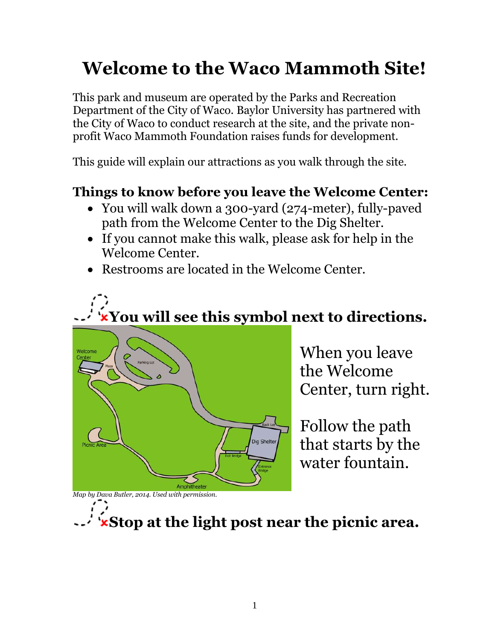# **Welcome to the Waco Mammoth Site!**

This park and museum are operated by the Parks and Recreation Department of the City of Waco. Baylor University has partnered with the City of Waco to conduct research at the site, and the private nonprofit Waco Mammoth Foundation raises funds for development.

This guide will explain our attractions as you walk through the site.

## **Things to know before you leave the Welcome Center:**

- You will walk down a 300-yard (274-meter), fully-paved path from the Welcome Center to the Dig Shelter.
- If you cannot make this walk, please ask for help in the Welcome Center.
- Restrooms are located in the Welcome Center.





When you leave the Welcome Center, turn right.

Follow the path that starts by the water fountain.

*Map by Dava Butler, 2014. Used with permission.*

**Stop at the light post near the picnic area.**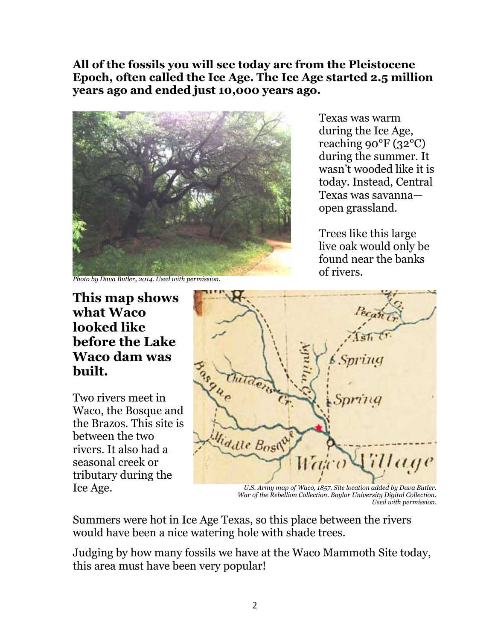**All of the fossils you will see today are from the Pleistocene Epoch, often called the Ice Age. The Ice Age started 2.5 million years ago and ended just 10,000 years ago.**



Texas was warm during the Ice Age, reaching 90°F (32°C) during the summer. It wasn't wooded like it is today. Instead, Central Texas was savanna open grassland.

Trees like this large live oak would only be found near the banks of rivers.

*Photo by Dava Butler, 2014. Used with permission.*

#### **This map shows what Waco looked like before the Lake Waco dam was built.**

Two rivers meet in Waco, the Bosque and the Brazos. This site is between the two rivers. It also had a seasonal creek or tributary during the



Ice Age. *U.S. Army map of Waco, 1857. Site location added by Dava Butler. War of the Rebellion Collection. Baylor University Digital Collection. Used with permission.*

Summers were hot in Ice Age Texas, so this place between the rivers would have been a nice watering hole with shade trees.

Judging by how many fossils we have at the Waco Mammoth Site today, this area must have been very popular!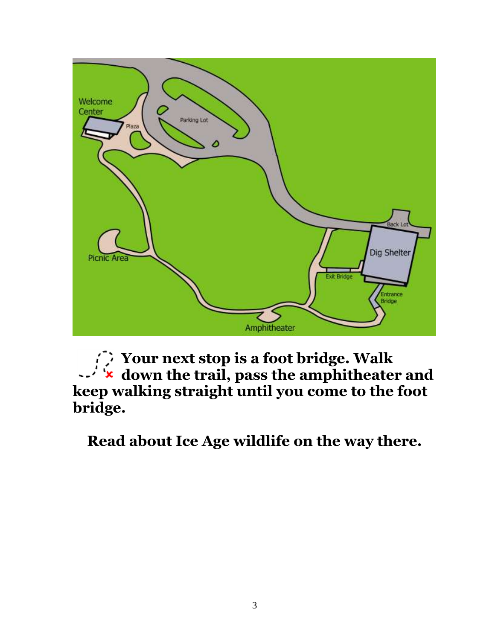

**Your next stop is a foot bridge. Walk down the trail, pass the amphitheater and keep walking straight until you come to the foot bridge.**

**Read about Ice Age wildlife on the way there.**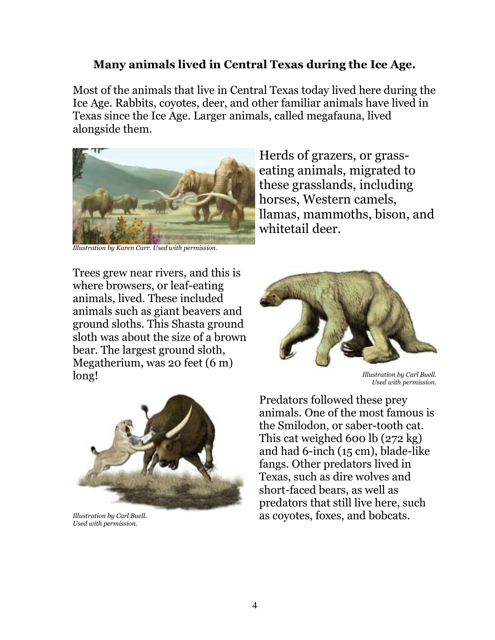#### **Many animals lived in Central Texas during the Ice Age.**

Most of the animals that live in Central Texas today lived here during the Ice Age. Rabbits, coyotes, deer, and other familiar animals have lived in Texas since the Ice Age. Larger animals, called megafauna, lived alongside them.



*Illustration by Karen Carr. Used with permission.*

Herds of grazers, or grasseating animals, migrated to these grasslands, including horses, Western camels, llamas, mammoths, bison, and whitetail deer.

Trees grew near rivers, and this is where browsers, or leaf-eating animals, lived. These included animals such as giant beavers and ground sloths. This Shasta ground sloth was about the size of a brown bear. The largest ground sloth, Megatherium, was 20 feet (6 m) long! *Illustration by Carl Buell.*



*Used with permission.*



*Illustration by Carl Buell. Used with permission.*

Predators followed these prey animals. One of the most famous is the Smilodon, or saber-tooth cat. This cat weighed 600 lb (272 kg) and had 6-inch (15 cm), blade-like fangs. Other predators lived in Texas, such as dire wolves and short-faced bears, as well as predators that still live here, such as coyotes, foxes, and bobcats.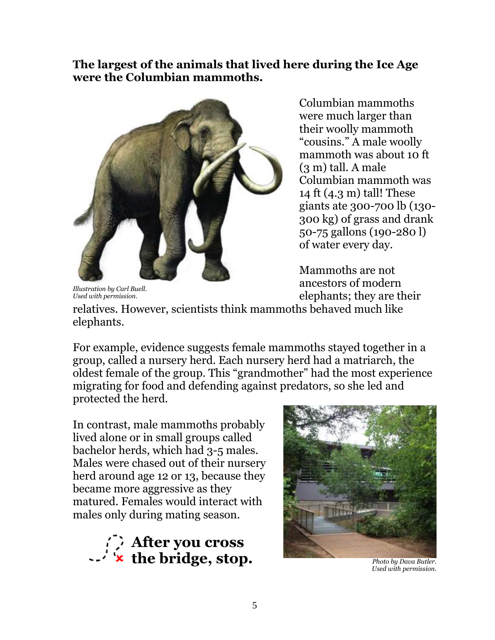**The largest of the animals that lived here during the Ice Age were the Columbian mammoths.**



Columbian mammoths were much larger than their woolly mammoth ―cousins.‖ A male woolly mammoth was about 10 ft (3 m) tall. A male Columbian mammoth was 14 ft (4.3 m) tall! These giants ate 300-700 lb (130- 300 kg) of grass and drank 50-75 gallons (190-280 l) of water every day.

Mammoths are not ancestors of modern elephants; they are their

*Illustration by Carl Buell. Used with permission.*

relatives. However, scientists think mammoths behaved much like elephants.

For example, evidence suggests female mammoths stayed together in a group, called a nursery herd. Each nursery herd had a matriarch, the oldest female of the group. This "grandmother" had the most experience migrating for food and defending against predators, so she led and protected the herd.

In contrast, male mammoths probably lived alone or in small groups called bachelor herds, which had 3-5 males. Males were chased out of their nursery herd around age 12 or 13, because they became more aggressive as they matured. Females would interact with males only during mating season.





*Photo by Dava Butler. Used with permission.*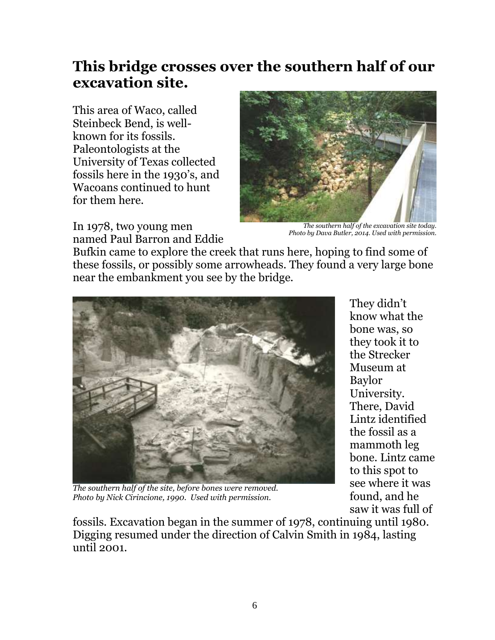## **This bridge crosses over the southern half of our excavation site.**

This area of Waco, called Steinbeck Bend, is wellknown for its fossils. Paleontologists at the University of Texas collected fossils here in the 1930's, and Wacoans continued to hunt for them here.



*The southern half of the excavation site today. Photo by Dava Butler, 2014. Used with permission.*

In 1978, two young men named Paul Barron and Eddie

Bufkin came to explore the creek that runs here, hoping to find some of these fossils, or possibly some arrowheads. They found a very large bone near the embankment you see by the bridge.



*The southern half of the site, before bones were removed. Photo by Nick Cirincione, 1990. Used with permission.*

They didn't know what the bone was, so they took it to the Strecker Museum at Baylor University. There, David Lintz identified the fossil as a mammoth leg bone. Lintz came to this spot to see where it was found, and he saw it was full of

fossils. Excavation began in the summer of 1978, continuing until 1980. Digging resumed under the direction of Calvin Smith in 1984, lasting until 2001.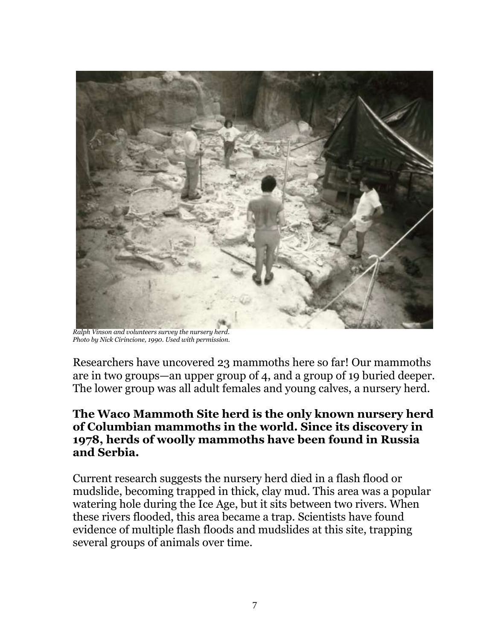

*Ralph Vinson and volunteers survey the nursery herd. Photo by Nick Cirincione, 1990. Used with permission.*

Researchers have uncovered 23 mammoths here so far! Our mammoths are in two groups—an upper group of 4, and a group of 19 buried deeper. The lower group was all adult females and young calves, a nursery herd.

#### **The Waco Mammoth Site herd is the only known nursery herd of Columbian mammoths in the world. Since its discovery in 1978, herds of woolly mammoths have been found in Russia and Serbia.**

Current research suggests the nursery herd died in a flash flood or mudslide, becoming trapped in thick, clay mud. This area was a popular watering hole during the Ice Age, but it sits between two rivers. When these rivers flooded, this area became a trap. Scientists have found evidence of multiple flash floods and mudslides at this site, trapping several groups of animals over time.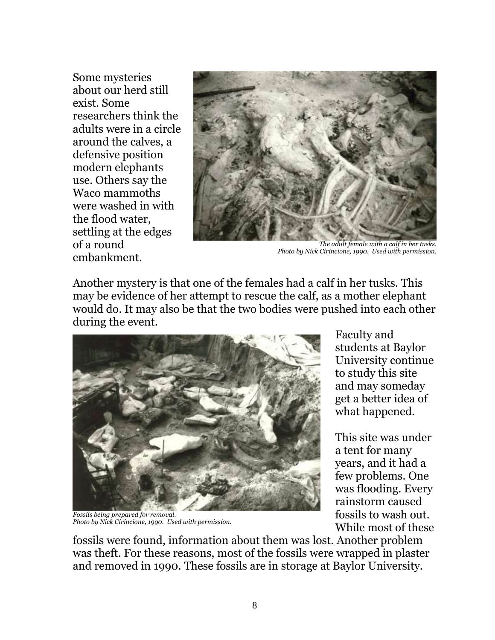Some mysteries about our herd still exist. Some researchers think the adults were in a circle around the calves, a defensive position modern elephants use. Others say the Waco mammoths were washed in with the flood water, settling at the edges of a round embankment.



*The adult female with a calf in her tusks. Photo by Nick Cirincione, 1990. Used with permission.*

Another mystery is that one of the females had a calf in her tusks. This may be evidence of her attempt to rescue the calf, as a mother elephant would do. It may also be that the two bodies were pushed into each other during the event.



*Fossils being prepared for removal. Photo by Nick Cirincione, 1990. Used with permission.*

Faculty and students at Baylor University continue to study this site and may someday get a better idea of what happened.

This site was under a tent for many years, and it had a few problems. One was flooding. Every rainstorm caused fossils to wash out. While most of these

fossils were found, information about them was lost. Another problem was theft. For these reasons, most of the fossils were wrapped in plaster and removed in 1990. These fossils are in storage at Baylor University.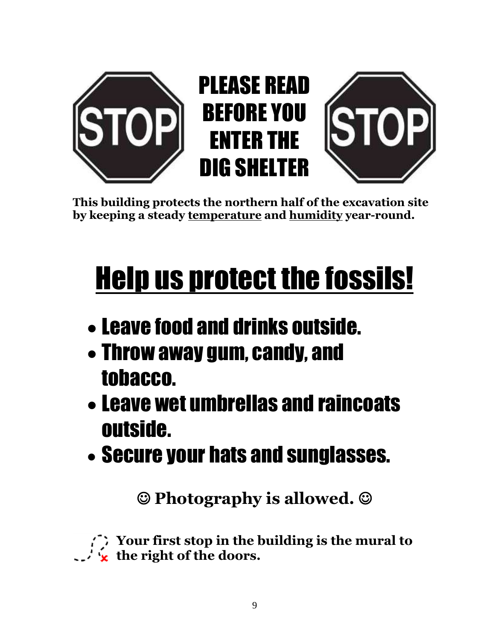

**This building protects the northern half of the excavation site by keeping a steady temperature and humidity year-round.**

# Help us protect the fossils!

- Leave food and drinks outside.
- Throw away gum, candy, and tobacco.
- Leave wet umbrellas and raincoats outside.
- Secure your hats and sunglasses.

**Photography is allowed.**

**Your first stop in the building is the mural to the right of the doors.**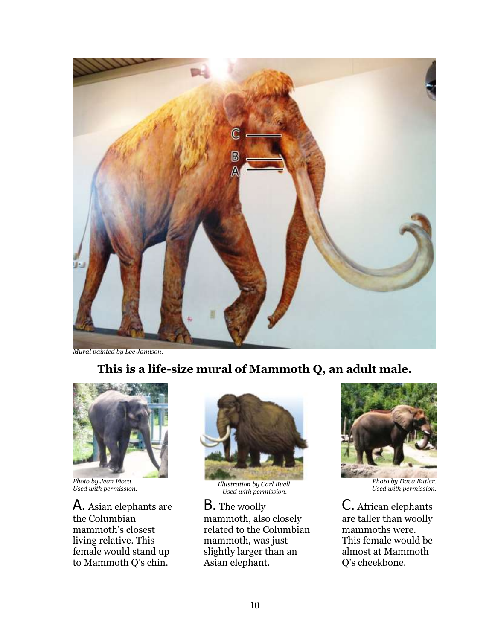

*Mural painted by Lee Jamison.*

#### **This is a life-size mural of Mammoth Q, an adult male.**



*Photo by Jean Fioca.*

A. Asian elephants are the Columbian mammoth's closest living relative. This female would stand up to Mammoth Q's chin.



*Used with permission. Illustration by Carl Buell. Used with permission.*

B. The woolly mammoth, also closely related to the Columbian mammoth, was just slightly larger than an Asian elephant.



*Used with permission.*

C. African elephants are taller than woolly mammoths were. This female would be almost at Mammoth Q's cheekbone.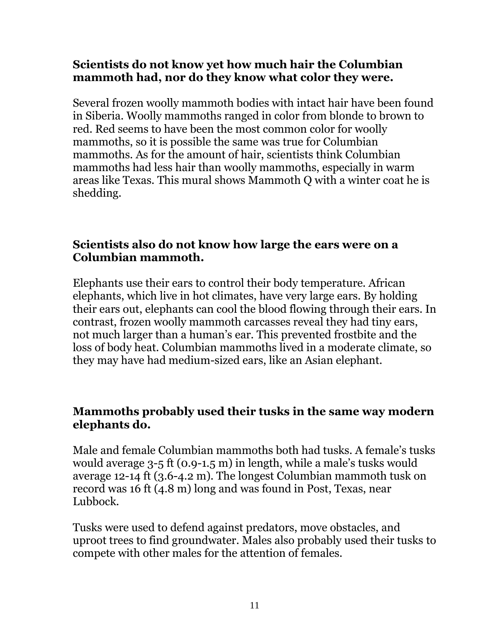#### **Scientists do not know yet how much hair the Columbian mammoth had, nor do they know what color they were.**

Several frozen woolly mammoth bodies with intact hair have been found in Siberia. Woolly mammoths ranged in color from blonde to brown to red. Red seems to have been the most common color for woolly mammoths, so it is possible the same was true for Columbian mammoths. As for the amount of hair, scientists think Columbian mammoths had less hair than woolly mammoths, especially in warm areas like Texas. This mural shows Mammoth Q with a winter coat he is shedding.

#### **Scientists also do not know how large the ears were on a Columbian mammoth.**

Elephants use their ears to control their body temperature. African elephants, which live in hot climates, have very large ears. By holding their ears out, elephants can cool the blood flowing through their ears. In contrast, frozen woolly mammoth carcasses reveal they had tiny ears, not much larger than a human's ear. This prevented frostbite and the loss of body heat. Columbian mammoths lived in a moderate climate, so they may have had medium-sized ears, like an Asian elephant.

#### **Mammoths probably used their tusks in the same way modern elephants do.**

Male and female Columbian mammoths both had tusks. A female's tusks would average 3-5 ft (0.9-1.5 m) in length, while a male's tusks would average 12-14 ft (3.6-4.2 m). The longest Columbian mammoth tusk on record was 16 ft (4.8 m) long and was found in Post, Texas, near Lubbock.

Tusks were used to defend against predators, move obstacles, and uproot trees to find groundwater. Males also probably used their tusks to compete with other males for the attention of females.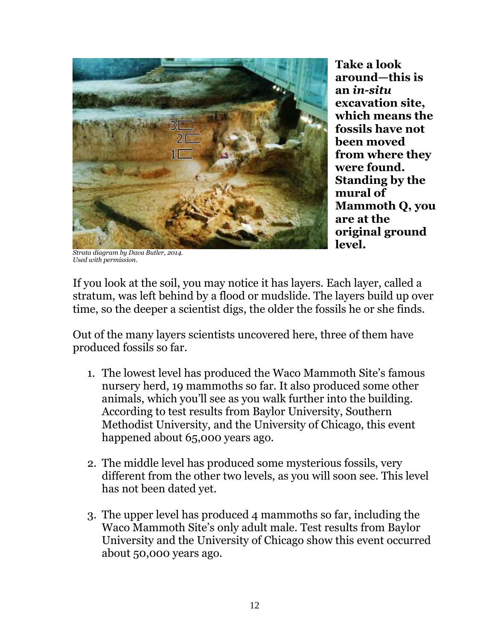

**Take a look around—this is an** *in-situ* **excavation site, which means the fossils have not been moved from where they were found. Standing by the mural of Mammoth Q, you are at the original ground level.**

*Strata diagram by Dava Butler, 2014. Used with permission.*

If you look at the soil, you may notice it has layers. Each layer, called a stratum, was left behind by a flood or mudslide. The layers build up over time, so the deeper a scientist digs, the older the fossils he or she finds.

Out of the many layers scientists uncovered here, three of them have produced fossils so far.

- 1. The lowest level has produced the Waco Mammoth Site's famous nursery herd, 19 mammoths so far. It also produced some other animals, which you'll see as you walk further into the building. According to test results from Baylor University, Southern Methodist University, and the University of Chicago, this event happened about 65,000 years ago.
- 2. The middle level has produced some mysterious fossils, very different from the other two levels, as you will soon see. This level has not been dated yet.
- 3. The upper level has produced 4 mammoths so far, including the Waco Mammoth Site's only adult male. Test results from Baylor University and the University of Chicago show this event occurred about 50,000 years ago.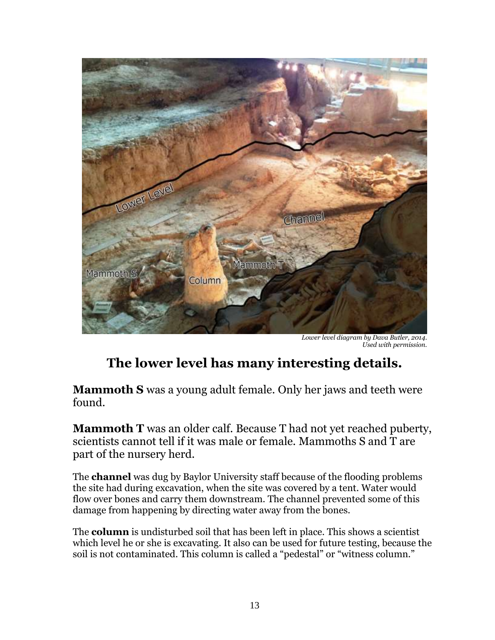

*Lower level diagram by Dava Butler, 2014. Used with permission.*

## **The lower level has many interesting details.**

**Mammoth S** was a young adult female. Only her jaws and teeth were found.

**Mammoth T** was an older calf. Because T had not yet reached puberty, scientists cannot tell if it was male or female. Mammoths S and T are part of the nursery herd.

The **channel** was dug by Baylor University staff because of the flooding problems the site had during excavation, when the site was covered by a tent. Water would flow over bones and carry them downstream. The channel prevented some of this damage from happening by directing water away from the bones.

The **column** is undisturbed soil that has been left in place. This shows a scientist which level he or she is excavating. It also can be used for future testing, because the soil is not contaminated. This column is called a "pedestal" or "witness column."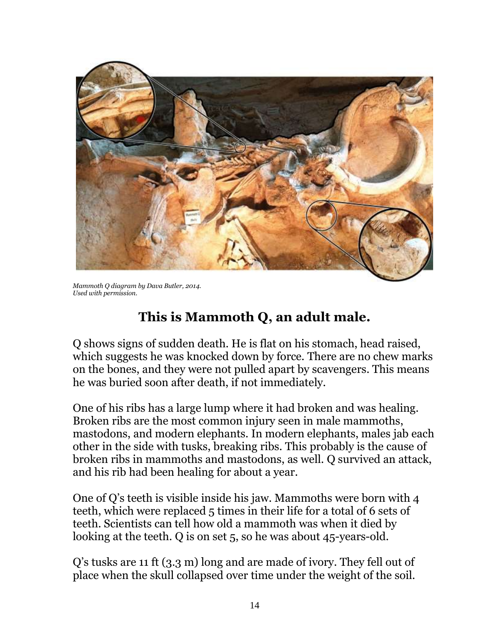

*Mammoth Q diagram by Dava Butler, 2014. Used with permission.*

## **This is Mammoth Q, an adult male.**

Q shows signs of sudden death. He is flat on his stomach, head raised, which suggests he was knocked down by force. There are no chew marks on the bones, and they were not pulled apart by scavengers. This means he was buried soon after death, if not immediately.

One of his ribs has a large lump where it had broken and was healing. Broken ribs are the most common injury seen in male mammoths, mastodons, and modern elephants. In modern elephants, males jab each other in the side with tusks, breaking ribs. This probably is the cause of broken ribs in mammoths and mastodons, as well. Q survived an attack, and his rib had been healing for about a year.

One of Q's teeth is visible inside his jaw. Mammoths were born with 4 teeth, which were replaced 5 times in their life for a total of 6 sets of teeth. Scientists can tell how old a mammoth was when it died by looking at the teeth. Q is on set 5, so he was about 45-years-old.

Q's tusks are 11 ft (3.3 m) long and are made of ivory. They fell out of place when the skull collapsed over time under the weight of the soil.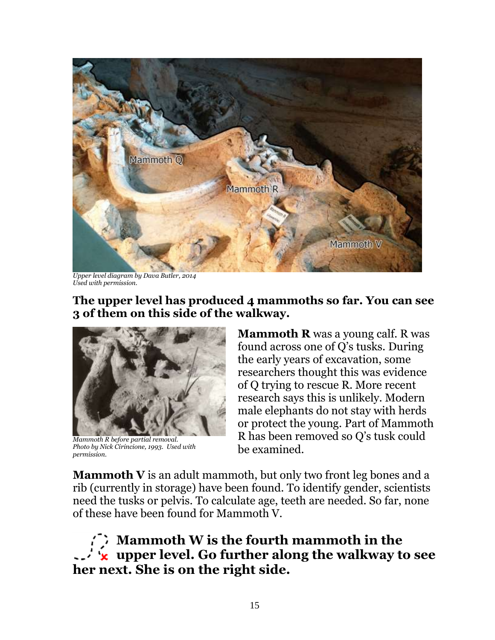

*Upper level diagram by Dava Butler, 2014 Used with permission.*

**The upper level has produced 4 mammoths so far. You can see 3 of them on this side of the walkway.**



*Mammoth R before partial removal. Photo by Nick Cirincione, 1993. Used with permission.*

**Mammoth R** was a young calf. R was found across one of Q's tusks. During the early years of excavation, some researchers thought this was evidence of Q trying to rescue R. More recent research says this is unlikely. Modern male elephants do not stay with herds or protect the young. Part of Mammoth R has been removed so Q's tusk could be examined.

**Mammoth V** is an adult mammoth, but only two front leg bones and a rib (currently in storage) have been found. To identify gender, scientists need the tusks or pelvis. To calculate age, teeth are needed. So far, none of these have been found for Mammoth V.

**Mammoth W is the fourth mammoth in the upper level. Go further along the walkway to see her next. She is on the right side.**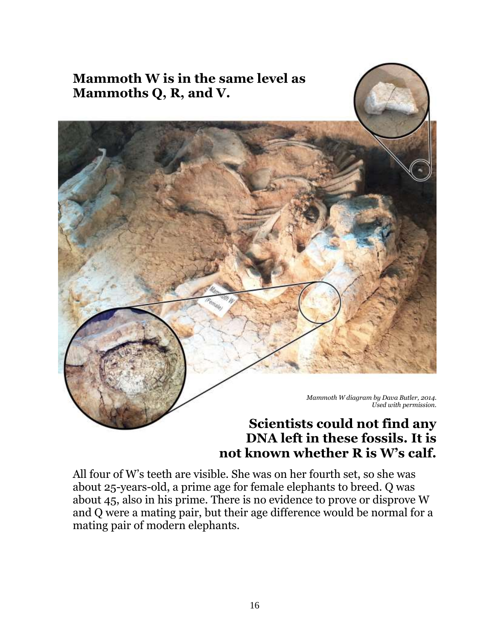

## **DNA left in these fossils. It is not known whether R is W's calf.**

All four of W's teeth are visible. She was on her fourth set, so she was about 25-years-old, a prime age for female elephants to breed. Q was about 45, also in his prime. There is no evidence to prove or disprove W and Q were a mating pair, but their age difference would be normal for a mating pair of modern elephants.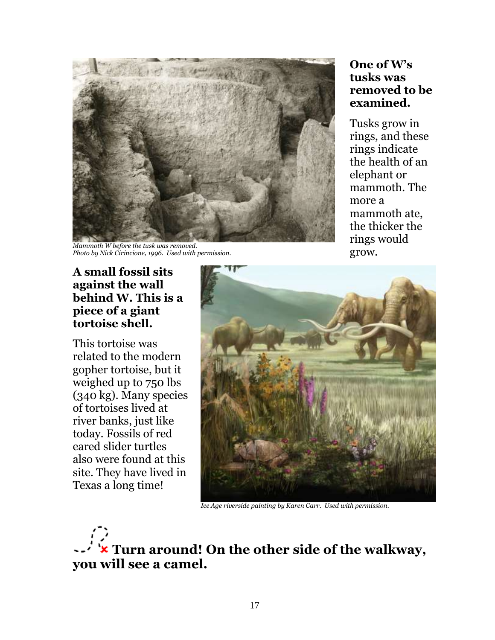

*Mammoth W before the tusk was removed. Photo by Nick Cirincione, 1996. Used with permission.*

#### **One of W's tusks was removed to be examined.**

Tusks grow in rings, and these rings indicate the health of an elephant or mammoth. The more a mammoth ate, the thicker the rings would grow.

#### **A small fossil sits against the wall behind W. This is a piece of a giant tortoise shell.**

This tortoise was related to the modern gopher tortoise, but it weighed up to 750 lbs (340 kg). Many species of tortoises lived at river banks, just like today. Fossils of red eared slider turtles also were found at this site. They have lived in Texas a long time!



*Ice Age riverside painting by Karen Carr. Used with permission.*

**Turn around! On the other side of the walkway, you will see a camel.**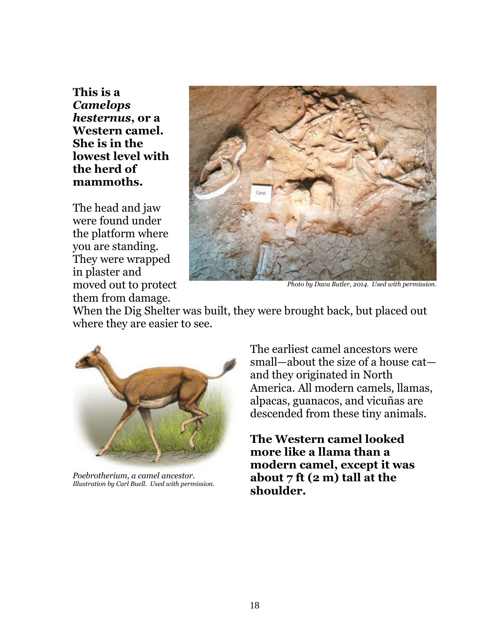**This is a**  *Camelops hesternus***, or a Western camel. She is in the lowest level with the herd of mammoths.**

The head and jaw were found under the platform where you are standing. They were wrapped in plaster and moved out to protect them from damage.



*Photo by Dava Butler, 2014. Used with permission.*

When the Dig Shelter was built, they were brought back, but placed out where they are easier to see.



*Poebrotherium, a camel ancestor. Illustration by Carl Buell. Used with permission.*

The earliest camel ancestors were small—about the size of a house cat and they originated in North America. All modern camels, llamas, alpacas, guanacos, and vicuñas are descended from these tiny animals.

**The Western camel looked more like a llama than a modern camel, except it was about 7 ft (2 m) tall at the shoulder.**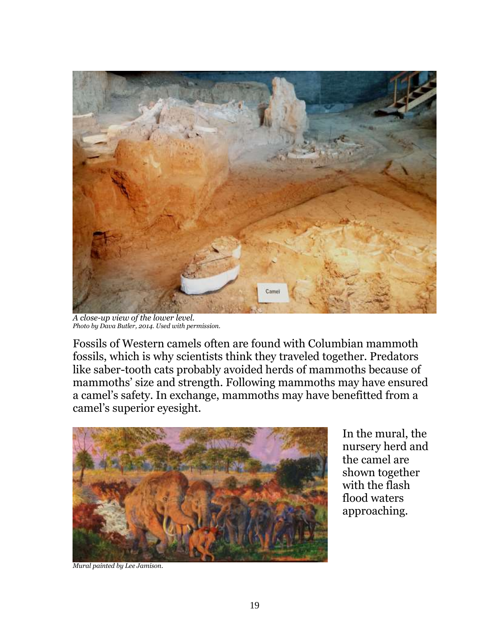

*A close-up view of the lower level. Photo by Dava Butler, 2014. Used with permission.*

Fossils of Western camels often are found with Columbian mammoth fossils, which is why scientists think they traveled together. Predators like saber-tooth cats probably avoided herds of mammoths because of mammoths' size and strength. Following mammoths may have ensured a camel's safety. In exchange, mammoths may have benefitted from a camel's superior eyesight.



In the mural, the nursery herd and the camel are shown together with the flash flood waters approaching.

*Mural painted by Lee Jamison.*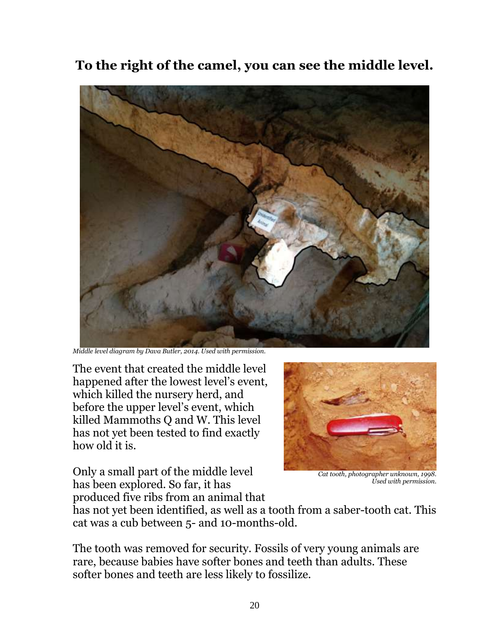**To the right of the camel, you can see the middle level.**



*Middle level diagram by Dava Butler, 2014. Used with permission.*

The event that created the middle level happened after the lowest level's event, which killed the nursery herd, and before the upper level's event, which killed Mammoths Q and W. This level has not yet been tested to find exactly how old it is.



Only a small part of the middle level has been explored. So far, it has produced five ribs from an animal that

*Cat tooth, photographer unknown, 1998. Used with permission.*

has not yet been identified, as well as a tooth from a saber-tooth cat. This cat was a cub between 5- and 10-months-old.

The tooth was removed for security. Fossils of very young animals are rare, because babies have softer bones and teeth than adults. These softer bones and teeth are less likely to fossilize.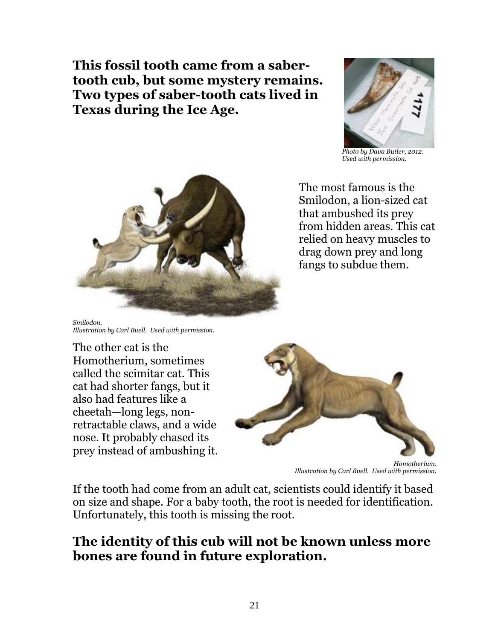**This fossil tooth came from a sabertooth cub, but some mystery remains. Two types of saber-tooth cats lived in Texas during the Ice Age.**



*Photo by Dava Butler, 2012. Used with permission.*



*Smilodon. Illustration by Carl Buell. Used with permission.*

The other cat is the Homotherium, sometimes called the scimitar cat. This cat had shorter fangs, but it also had features like a cheetah—long legs, nonretractable claws, and a wide nose. It probably chased its prey instead of ambushing it.



*Homotherium. Illustration by Carl Buell. Used with permission.*

If the tooth had come from an adult cat, scientists could identify it based on size and shape. For a baby tooth, the root is needed for identification. Unfortunately, this tooth is missing the root.

### **The identity of this cub will not be known unless more bones are found in future exploration.**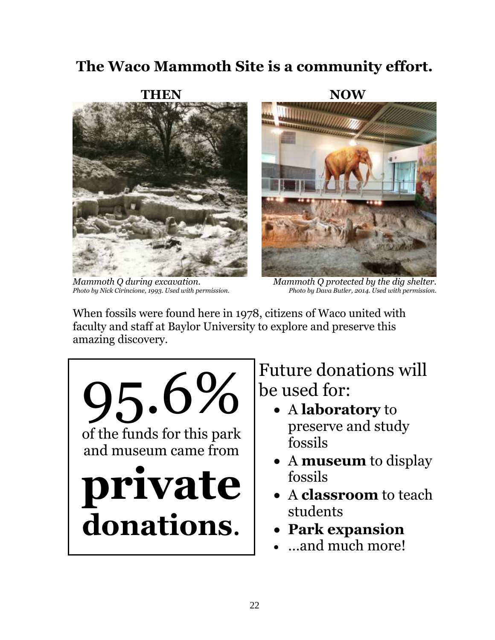## **The Waco Mammoth Site is a community effort.**



*Mammoth Q during excavation. Photo by Nick Cirincione, 1993. Used with permission.*

**NOW**

*Mammoth Q protected by the dig shelter. Photo by Dava Butler, 2014. Used with permission.*

When fossils were found here in 1978, citizens of Waco united with faculty and staff at Baylor University to explore and preserve this amazing discovery.



Future donations will be used for:

- A **laboratory** to preserve and study fossils
- A **museum** to display fossils
- A **classroom** to teach students
- **Park expansion**
- …and much more!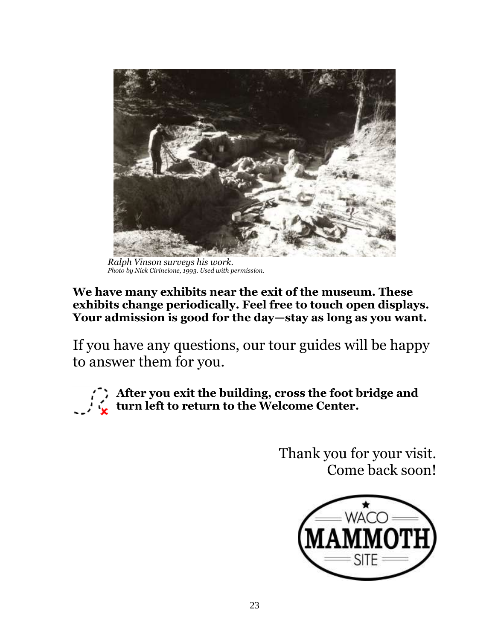

*Ralph Vinson surveys his work. Photo by Nick Cirincione, 1993. Used with permission.*

#### **We have many exhibits near the exit of the museum. These exhibits change periodically. Feel free to touch open displays. Your admission is good for the day—stay as long as you want.**

If you have any questions, our tour guides will be happy to answer them for you.



**After you exit the building, cross the foot bridge and turn left to return to the Welcome Center.**

> Thank you for your visit. Come back soon!